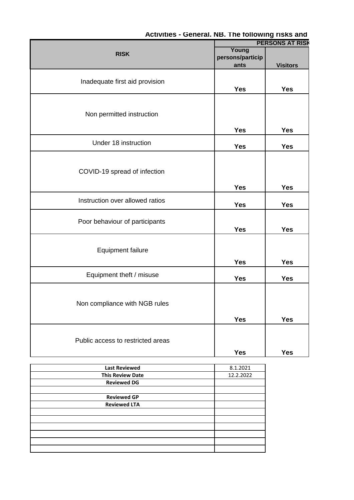|                                   |                  | <b>PERSONS AT RISK</b> |  |
|-----------------------------------|------------------|------------------------|--|
| <b>RISK</b>                       | Young            |                        |  |
|                                   | persons/particip |                        |  |
|                                   | ants             | <b>Visitors</b>        |  |
|                                   |                  |                        |  |
| Inadequate first aid provision    |                  |                        |  |
|                                   | <b>Yes</b>       | <b>Yes</b>             |  |
|                                   |                  |                        |  |
|                                   |                  |                        |  |
| Non permitted instruction         |                  |                        |  |
|                                   |                  |                        |  |
|                                   | <b>Yes</b>       | <b>Yes</b>             |  |
|                                   |                  |                        |  |
| Under 18 instruction              | <b>Yes</b>       | <b>Yes</b>             |  |
|                                   |                  |                        |  |
|                                   |                  |                        |  |
| COVID-19 spread of infection      |                  |                        |  |
|                                   |                  |                        |  |
|                                   | <b>Yes</b>       | <b>Yes</b>             |  |
|                                   |                  |                        |  |
| Instruction over allowed ratios   | <b>Yes</b>       | <b>Yes</b>             |  |
|                                   |                  |                        |  |
| Poor behaviour of participants    |                  |                        |  |
|                                   | <b>Yes</b>       | <b>Yes</b>             |  |
|                                   |                  |                        |  |
|                                   |                  |                        |  |
| <b>Equipment failure</b>          |                  |                        |  |
|                                   | <b>Yes</b>       | <b>Yes</b>             |  |
|                                   |                  |                        |  |
| Equipment theft / misuse          | <b>Yes</b>       | <b>Yes</b>             |  |
|                                   |                  |                        |  |
|                                   |                  |                        |  |
| Non compliance with NGB rules     |                  |                        |  |
|                                   |                  |                        |  |
|                                   | <b>Yes</b>       | <b>Yes</b>             |  |
|                                   |                  |                        |  |
| Public access to restricted areas |                  |                        |  |
|                                   |                  |                        |  |
|                                   | <b>Yes</b>       | <b>Yes</b>             |  |

## Activities - General. NB. The following risks and

| <b>Last Reviewed</b>    | 8.1.2021  |
|-------------------------|-----------|
| <b>This Review Date</b> | 12.2.2022 |
| <b>Reviewed DG</b>      |           |
|                         |           |
| <b>Reviewed GP</b>      |           |
| <b>Reviewed LTA</b>     |           |
|                         |           |
|                         |           |
|                         |           |
|                         |           |
|                         |           |
|                         |           |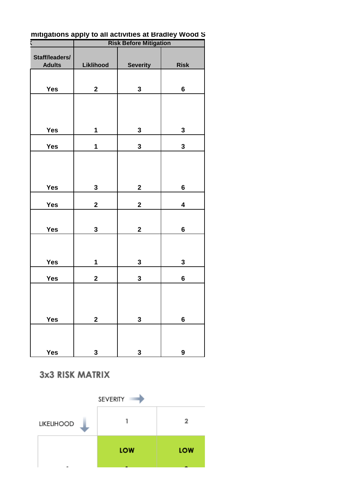| . .<br>Wood<br>at Bradlev:<br>; apply to<br>) all activities at<br>mitigations |
|--------------------------------------------------------------------------------|
|--------------------------------------------------------------------------------|

| ٢ |                                 |              | <b>Risk Before Mitigation</b> |                         |  |
|---|---------------------------------|--------------|-------------------------------|-------------------------|--|
|   | Staff/leaders/<br><b>Adults</b> | Liklihood    | <b>Severity</b>               | <b>Risk</b>             |  |
|   | Yes                             | $\mathbf{2}$ | $\mathbf{3}$                  | $6\phantom{a}$          |  |
|   |                                 |              |                               |                         |  |
|   | <b>Yes</b>                      | $\mathbf 1$  | $\mathbf{3}$                  | $\mathbf{3}$            |  |
|   | Yes                             | $\mathbf{1}$ | $\mathbf{3}$                  | $\mathbf{3}$            |  |
|   |                                 |              |                               |                         |  |
|   | Yes                             | $\mathbf{3}$ | $\mathbf{2}$                  | $\bf 6$                 |  |
|   | Yes                             | $\mathbf{2}$ | $\mathbf{2}$                  | $\overline{\mathbf{4}}$ |  |
|   | Yes                             | 3            | $\mathbf{2}$                  | $\bf 6$                 |  |
|   |                                 |              |                               |                         |  |
|   | Yes                             | $\mathbf{1}$ | $\mathbf{3}$                  | $\mathbf{3}$            |  |
|   | Yes                             | $\mathbf 2$  | 3                             | $\bf 6$                 |  |
|   |                                 |              |                               |                         |  |
|   | Yes                             | $\mathbf 2$  | $\mathbf 3$                   | $\bf 6$                 |  |
|   |                                 |              |                               |                         |  |
|   | Yes                             | 3            | 3                             | 9                       |  |

3x3 RISK MATRIX

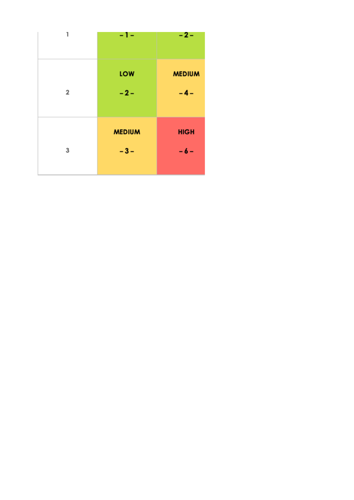| 1              | -1-                    | $-2-$                  |
|----------------|------------------------|------------------------|
| $\overline{2}$ | LOW<br>$-2-$           | <b>MEDIUM</b><br>$-4-$ |
| 3              | <b>MEDIUM</b><br>$-3-$ | <b>HIGH</b><br>$-6-$   |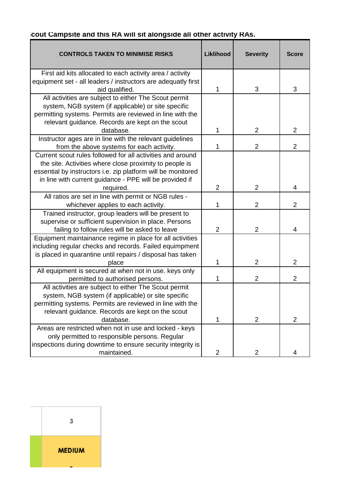| <b>CONTROLS TAKEN TO MINIMISE RISKS</b>                       | Liklihood      | <b>Severity</b> | <b>Score</b>   |
|---------------------------------------------------------------|----------------|-----------------|----------------|
| First aid kits allocated to each activity area / activity     |                |                 |                |
| equipment set - all leaders / instructors are adequatly first |                |                 |                |
| aid qualified.                                                | 1              | 3               | 3              |
| All activities are subject to either The Scout permit         |                |                 |                |
| system, NGB system (if applicable) or site specific           |                |                 |                |
| permitting systems. Permits are reviewed in line with the     |                |                 |                |
| relevant guidance. Records are kept on the scout              |                |                 |                |
| database.                                                     | 1              | $\overline{2}$  | $\overline{2}$ |
| Instructor ages are in line with the relevant guidelines      |                |                 |                |
| from the above systems for each activity.                     | 1              | $\overline{2}$  | $\overline{2}$ |
| Current scout rules followed for all activities and around    |                |                 |                |
| the site. Activities where close proximity to people is       |                |                 |                |
| essential by instructors i.e. zip platform will be monitored  |                |                 |                |
| in line with current guidance - PPE will be provided if       |                |                 |                |
| required.                                                     | $\overline{2}$ | $\overline{2}$  | 4              |
| All ratios are set in line with permit or NGB rules -         |                |                 |                |
| whichever applies to each activity.                           | 1              | $\overline{2}$  | $\overline{2}$ |
| Trained instructor, group leaders will be present to          |                |                 |                |
| supervise or sufficient supervision in place. Persons         |                |                 |                |
| failing to follow rules will be asked to leave                | $\overline{2}$ | $\overline{2}$  | 4              |
| Equipment maintainance regime in place for all activities     |                |                 |                |
| including regular checks and records. Failed equimpment       |                |                 |                |
| is placed in quarantine until repairs / disposal has taken    |                |                 |                |
| place                                                         | 1              | $\overline{2}$  | $\overline{2}$ |
| All equipment is secured at when not in use. keys only        |                |                 |                |
| permitted to authorised persons.                              | 1              | $\overline{2}$  | $\overline{2}$ |
| All activities are subject to either The Scout permit         |                |                 |                |
| system, NGB system (if applicable) or site specific           |                |                 |                |
| permitting systems. Permits are reviewed in line with the     |                |                 |                |
| relevant guidance. Records are kept on the scout              |                |                 |                |
| database.                                                     | 1              | $\overline{2}$  | $\overline{2}$ |
| Areas are restricted when not in use and locked - keys        |                |                 |                |
| only permitted to responsible persons. Regular                |                |                 |                |
| inspections during downtime to ensure security integrity is   |                |                 |                |
| maintained.                                                   | $\overline{2}$ | $\overline{2}$  |                |

## **Cout Campsite and this RA will sit alongside all other activity RAs.**

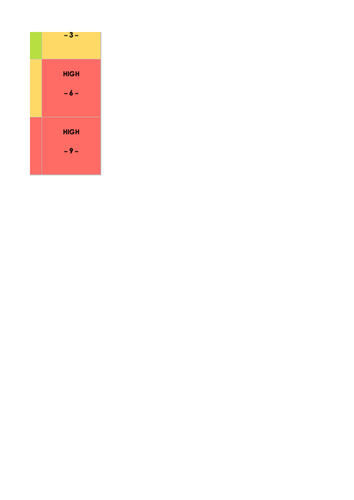